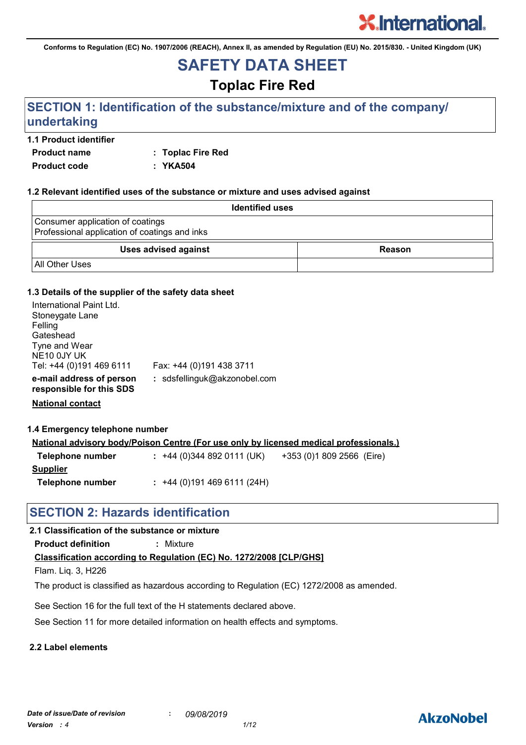**Conforms to Regulation (EC) No. 1907/2006 (REACH), Annex II, as amended by Regulation (EU) No. 2015/830. - United Kingdom (UK)**

## **SAFETY DATA SHEET**

## **Toplac Fire Red**

## **SECTION 1: Identification of the substance/mixture and of the company/ undertaking**

## **1.1 Product identifier**

**Product name : Toplac Fire Red Product code : YKA504**

## **1.2 Relevant identified uses of the substance or mixture and uses advised against**

| <b>Identified uses</b>                                                            |               |
|-----------------------------------------------------------------------------------|---------------|
| Consumer application of coatings<br>Professional application of coatings and inks |               |
| <b>Uses advised against</b>                                                       | <b>Reason</b> |
| <b>All Other Uses</b>                                                             |               |

## **1.3 Details of the supplier of the safety data sheet**

| International Paint Ltd.<br>Stoneygate Lane<br>Felling<br>Gateshead<br>Tyne and Wear<br>NE <sub>10</sub> 0JY UK<br>Tel: +44 (0)191 469 6111 | Fax: +44 (0)191 438 3711     |
|---------------------------------------------------------------------------------------------------------------------------------------------|------------------------------|
| e-mail address of person<br>responsible for this SDS                                                                                        | : sdsfellinguk@akzonobel.com |

**National contact**

#### **1.4 Emergency telephone number**

|                  | <u>National advisory body/Poison Centre (For use only by licensed medical professionals.)</u> |                           |
|------------------|-----------------------------------------------------------------------------------------------|---------------------------|
| Telephone number | $: +44(0)3448920111(UK)$                                                                      | +353 (0)1 809 2566 (Eire) |
| <b>Supplier</b>  |                                                                                               |                           |
| Telephone number | $: +44(0)1914696111(24H)$                                                                     |                           |

## **SECTION 2: Hazards identification**

## **2.1 Classification of the substance or mixture**

**Product definition :** Mixture

## **Classification according to Regulation (EC) No. 1272/2008 [CLP/GHS]**

Flam. Liq. 3, H226

The product is classified as hazardous according to Regulation (EC) 1272/2008 as amended.

See Section 16 for the full text of the H statements declared above.

See Section 11 for more detailed information on health effects and symptoms.

## **2.2 Label elements**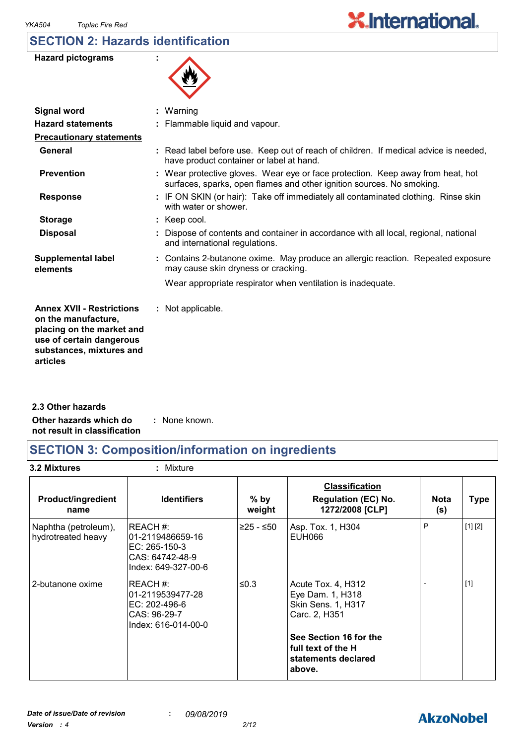## **SECTION 2: Hazards identification**

| <b>Hazard pictograms</b> |  |
|--------------------------|--|
|--------------------------|--|



| <b>Signal word</b>                                                                                                                                       | $:$ Warning                                                                                                                                              |
|----------------------------------------------------------------------------------------------------------------------------------------------------------|----------------------------------------------------------------------------------------------------------------------------------------------------------|
| <b>Hazard statements</b>                                                                                                                                 | : Flammable liquid and vapour.                                                                                                                           |
| <b>Precautionary statements</b>                                                                                                                          |                                                                                                                                                          |
| General                                                                                                                                                  | : Read label before use. Keep out of reach of children. If medical advice is needed,<br>have product container or label at hand.                         |
| <b>Prevention</b>                                                                                                                                        | : Wear protective gloves. Wear eye or face protection. Keep away from heat, hot<br>surfaces, sparks, open flames and other ignition sources. No smoking. |
| <b>Response</b>                                                                                                                                          | : IF ON SKIN (or hair): Take off immediately all contaminated clothing. Rinse skin<br>with water or shower.                                              |
| <b>Storage</b>                                                                                                                                           | $:$ Keep cool.                                                                                                                                           |
| <b>Disposal</b>                                                                                                                                          | : Dispose of contents and container in accordance with all local, regional, national<br>and international regulations.                                   |
| <b>Supplemental label</b><br>elements                                                                                                                    | : Contains 2-butanone oxime. May produce an allergic reaction. Repeated exposure<br>may cause skin dryness or cracking.                                  |
|                                                                                                                                                          | Wear appropriate respirator when ventilation is inadequate.                                                                                              |
| <b>Annex XVII - Restrictions</b><br>on the manufacture,<br>placing on the market and<br>use of certain dangerous<br>substances, mixtures and<br>articles | : Not applicable.                                                                                                                                        |
|                                                                                                                                                          |                                                                                                                                                          |

**Other hazards which do : not result in classification** : None known. **2.3 Other hazards**

## **SECTION 3: Composition/information on ingredients**

**3.2 Mixtures :** Mixture

| <b>Product/ingredient</b><br>name          | <b>Identifiers</b>                                                                      | $%$ by<br>weight | <b>Classification</b><br><b>Regulation (EC) No.</b><br>1272/2008 [CLP]          | <b>Nota</b><br>(s) | <b>Type</b> |
|--------------------------------------------|-----------------------------------------------------------------------------------------|------------------|---------------------------------------------------------------------------------|--------------------|-------------|
| Naphtha (petroleum),<br>hydrotreated heavy | REACH#:<br>l01-2119486659-16<br>EC: 265-150-3<br>CAS: 64742-48-9<br>Index: 649-327-00-6 | ≥25 - ≤50        | Asp. Tox. 1, H304<br>EUH066                                                     | P                  | [1] [2]     |
| 2-butanone oxime                           | REACH #:<br>01-2119539477-28<br>EC: 202-496-6<br>CAS: 96-29-7<br>Index: 616-014-00-0    | ≤0.3             | Acute Tox. 4, H312<br>Eye Dam. 1, H318<br>Skin Sens. 1, H317<br>Carc. 2, H351   |                    | $[1]$       |
|                                            |                                                                                         |                  | See Section 16 for the<br>l full text of the H<br>statements declared<br>above. |                    |             |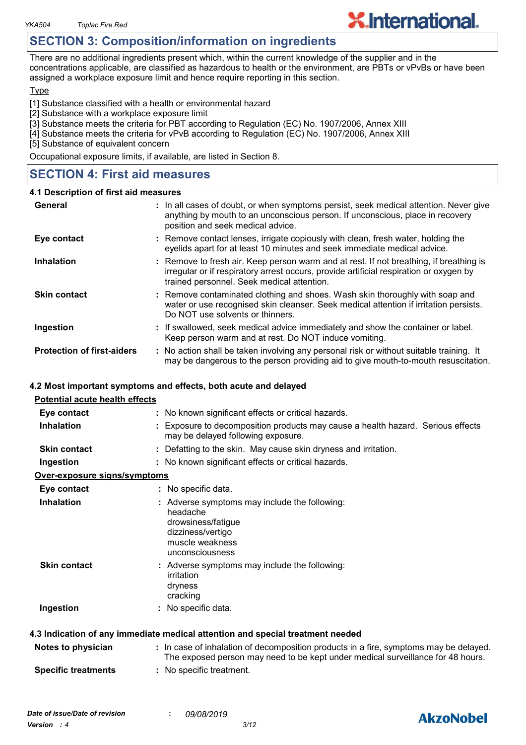## **SECTION 3: Composition/information on ingredients**

There are no additional ingredients present which, within the current knowledge of the supplier and in the concentrations applicable, are classified as hazardous to health or the environment, are PBTs or vPvBs or have been assigned a workplace exposure limit and hence require reporting in this section.

**X.International.** 

#### **Type**

[1] Substance classified with a health or environmental hazard

- [2] Substance with a workplace exposure limit
- [3] Substance meets the criteria for PBT according to Regulation (EC) No. 1907/2006, Annex XIII
- [4] Substance meets the criteria for vPvB according to Regulation (EC) No. 1907/2006, Annex XIII
- [5] Substance of equivalent concern

Occupational exposure limits, if available, are listed in Section 8.

## **SECTION 4: First aid measures**

#### **4.1 Description of first aid measures**

| General                           | : In all cases of doubt, or when symptoms persist, seek medical attention. Never give<br>anything by mouth to an unconscious person. If unconscious, place in recovery<br>position and seek medical advice.                    |  |
|-----------------------------------|--------------------------------------------------------------------------------------------------------------------------------------------------------------------------------------------------------------------------------|--|
| Eye contact                       | : Remove contact lenses, irrigate copiously with clean, fresh water, holding the<br>eyelids apart for at least 10 minutes and seek immediate medical advice.                                                                   |  |
| <b>Inhalation</b>                 | : Remove to fresh air. Keep person warm and at rest. If not breathing, if breathing is<br>irregular or if respiratory arrest occurs, provide artificial respiration or oxygen by<br>trained personnel. Seek medical attention. |  |
| <b>Skin contact</b>               | : Remove contaminated clothing and shoes. Wash skin thoroughly with soap and<br>water or use recognised skin cleanser. Seek medical attention if irritation persists.<br>Do NOT use solvents or thinners.                      |  |
| Ingestion                         | : If swallowed, seek medical advice immediately and show the container or label.<br>Keep person warm and at rest. Do NOT induce vomiting.                                                                                      |  |
| <b>Protection of first-aiders</b> | : No action shall be taken involving any personal risk or without suitable training. It<br>may be dangerous to the person providing aid to give mouth-to-mouth resuscitation.                                                  |  |

## **4.2 Most important symptoms and effects, both acute and delayed**

| <b>Potential acute health effects</b> |                                                                                                                                                                          |
|---------------------------------------|--------------------------------------------------------------------------------------------------------------------------------------------------------------------------|
| Eye contact                           | : No known significant effects or critical hazards.                                                                                                                      |
| <b>Inhalation</b>                     | : Exposure to decomposition products may cause a health hazard. Serious effects<br>may be delayed following exposure.                                                    |
| <b>Skin contact</b>                   | : Defatting to the skin. May cause skin dryness and irritation.                                                                                                          |
| Ingestion                             | : No known significant effects or critical hazards.                                                                                                                      |
| Over-exposure signs/symptoms          |                                                                                                                                                                          |
| Eye contact                           | : No specific data.                                                                                                                                                      |
| <b>Inhalation</b>                     | : Adverse symptoms may include the following:<br>headache<br>drowsiness/fatigue<br>dizziness/vertigo<br>muscle weakness<br>unconsciousness                               |
| <b>Skin contact</b>                   | : Adverse symptoms may include the following:<br>irritation<br>dryness<br>cracking                                                                                       |
| Ingestion                             | : No specific data.                                                                                                                                                      |
|                                       | 4.3 Indication of any immediate medical attention and special treatment needed                                                                                           |
| Notes to physician                    | : In case of inhalation of decomposition products in a fire, symptoms may be delayed.<br>The exposed person may need to be kept under medical surveillance for 48 hours. |
| <b>Specific treatments</b>            | : No specific treatment.                                                                                                                                                 |



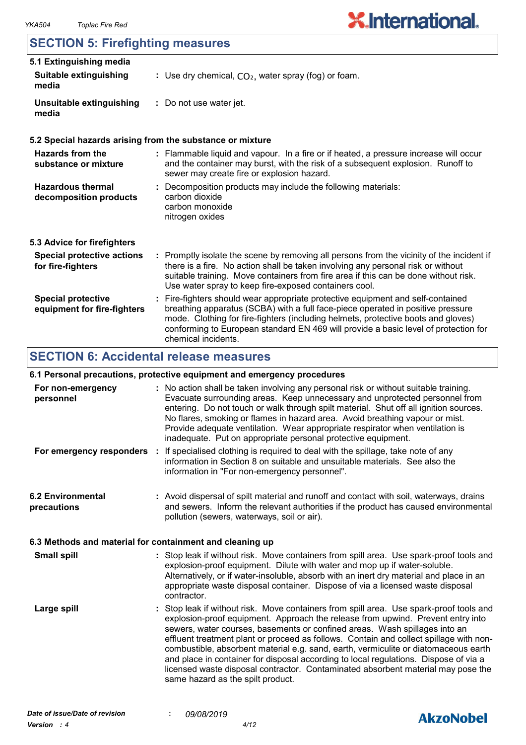## **SECTION 5: Firefighting measures**

| 5.1 Extinguishing media                                  |                                                                                                                                                                                                                                                                                                                                                                       |  |  |
|----------------------------------------------------------|-----------------------------------------------------------------------------------------------------------------------------------------------------------------------------------------------------------------------------------------------------------------------------------------------------------------------------------------------------------------------|--|--|
| <b>Suitable extinguishing</b><br>media                   | : Use dry chemical, $CO2$ , water spray (fog) or foam.                                                                                                                                                                                                                                                                                                                |  |  |
| Unsuitable extinguishing<br>media                        | : Do not use water jet.                                                                                                                                                                                                                                                                                                                                               |  |  |
|                                                          | 5.2 Special hazards arising from the substance or mixture                                                                                                                                                                                                                                                                                                             |  |  |
| Hazards from the<br>substance or mixture                 | : Flammable liquid and vapour. In a fire or if heated, a pressure increase will occur<br>and the container may burst, with the risk of a subsequent explosion. Runoff to<br>sewer may create fire or explosion hazard.                                                                                                                                                |  |  |
| <b>Hazardous thermal</b><br>decomposition products       | : Decomposition products may include the following materials:<br>carbon dioxide<br>carbon monoxide<br>nitrogen oxides                                                                                                                                                                                                                                                 |  |  |
| 5.3 Advice for firefighters                              |                                                                                                                                                                                                                                                                                                                                                                       |  |  |
| <b>Special protective actions</b><br>for fire-fighters   | : Promptly isolate the scene by removing all persons from the vicinity of the incident if<br>there is a fire. No action shall be taken involving any personal risk or without<br>suitable training. Move containers from fire area if this can be done without risk.<br>Use water spray to keep fire-exposed containers cool.                                         |  |  |
| <b>Special protective</b><br>equipment for fire-fighters | : Fire-fighters should wear appropriate protective equipment and self-contained<br>breathing apparatus (SCBA) with a full face-piece operated in positive pressure<br>mode. Clothing for fire-fighters (including helmets, protective boots and gloves)<br>conforming to European standard EN 469 will provide a basic level of protection for<br>chemical incidents. |  |  |

## **SECTION 6: Accidental release measures**

## **6.1 Personal precautions, protective equipment and emergency procedures**

| For non-emergency<br>personnel                           | : No action shall be taken involving any personal risk or without suitable training.<br>Evacuate surrounding areas. Keep unnecessary and unprotected personnel from<br>entering. Do not touch or walk through spilt material. Shut off all ignition sources.<br>No flares, smoking or flames in hazard area. Avoid breathing vapour or mist.<br>Provide adequate ventilation. Wear appropriate respirator when ventilation is<br>inadequate. Put on appropriate personal protective equipment.                                                                                                                                                             |
|----------------------------------------------------------|------------------------------------------------------------------------------------------------------------------------------------------------------------------------------------------------------------------------------------------------------------------------------------------------------------------------------------------------------------------------------------------------------------------------------------------------------------------------------------------------------------------------------------------------------------------------------------------------------------------------------------------------------------|
|                                                          | For emergency responders : If specialised clothing is required to deal with the spillage, take note of any<br>information in Section 8 on suitable and unsuitable materials. See also the<br>information in "For non-emergency personnel".                                                                                                                                                                                                                                                                                                                                                                                                                 |
| <b>6.2 Environmental</b><br>precautions                  | : Avoid dispersal of spilt material and runoff and contact with soil, waterways, drains<br>and sewers. Inform the relevant authorities if the product has caused environmental<br>pollution (sewers, waterways, soil or air).                                                                                                                                                                                                                                                                                                                                                                                                                              |
| 6.3 Methods and material for containment and cleaning up |                                                                                                                                                                                                                                                                                                                                                                                                                                                                                                                                                                                                                                                            |
| <b>Small spill</b>                                       | : Stop leak if without risk. Move containers from spill area. Use spark-proof tools and<br>explosion-proof equipment. Dilute with water and mop up if water-soluble.<br>Alternatively, or if water-insoluble, absorb with an inert dry material and place in an<br>appropriate waste disposal container. Dispose of via a licensed waste disposal<br>contractor.                                                                                                                                                                                                                                                                                           |
| Large spill                                              | : Stop leak if without risk. Move containers from spill area. Use spark-proof tools and<br>explosion-proof equipment. Approach the release from upwind. Prevent entry into<br>sewers, water courses, basements or confined areas. Wash spillages into an<br>effluent treatment plant or proceed as follows. Contain and collect spillage with non-<br>combustible, absorbent material e.g. sand, earth, vermiculite or diatomaceous earth<br>and place in container for disposal according to local regulations. Dispose of via a<br>licensed waste disposal contractor. Contaminated absorbent material may pose the<br>same hazard as the spilt product. |

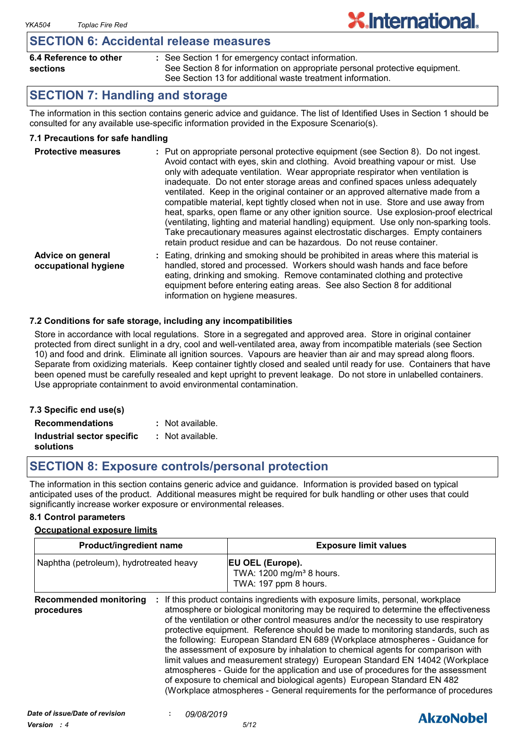## **SECTION 6: Accidental release measures**

| 6.4 Reference to other | : See Section 1 for emergency contact information.                          |
|------------------------|-----------------------------------------------------------------------------|
| sections               | See Section 8 for information on appropriate personal protective equipment. |
|                        | See Section 13 for additional waste treatment information.                  |

**X.International.** 

## **SECTION 7: Handling and storage**

The information in this section contains generic advice and guidance. The list of Identified Uses in Section 1 should be consulted for any available use-specific information provided in the Exposure Scenario(s).

## **7.1 Precautions for safe handling**

| <b>Protective measures</b>                | : Put on appropriate personal protective equipment (see Section 8). Do not ingest.<br>Avoid contact with eyes, skin and clothing. Avoid breathing vapour or mist. Use<br>only with adequate ventilation. Wear appropriate respirator when ventilation is<br>inadequate. Do not enter storage areas and confined spaces unless adequately<br>ventilated. Keep in the original container or an approved alternative made from a<br>compatible material, kept tightly closed when not in use. Store and use away from<br>heat, sparks, open flame or any other ignition source. Use explosion-proof electrical<br>(ventilating, lighting and material handling) equipment. Use only non-sparking tools.<br>Take precautionary measures against electrostatic discharges. Empty containers<br>retain product residue and can be hazardous. Do not reuse container. |
|-------------------------------------------|----------------------------------------------------------------------------------------------------------------------------------------------------------------------------------------------------------------------------------------------------------------------------------------------------------------------------------------------------------------------------------------------------------------------------------------------------------------------------------------------------------------------------------------------------------------------------------------------------------------------------------------------------------------------------------------------------------------------------------------------------------------------------------------------------------------------------------------------------------------|
| Advice on general<br>occupational hygiene | Eating, drinking and smoking should be prohibited in areas where this material is<br>handled, stored and processed. Workers should wash hands and face before<br>eating, drinking and smoking. Remove contaminated clothing and protective<br>equipment before entering eating areas. See also Section 8 for additional                                                                                                                                                                                                                                                                                                                                                                                                                                                                                                                                        |

## **7.2 Conditions for safe storage, including any incompatibilities**

Store in accordance with local regulations. Store in a segregated and approved area. Store in original container protected from direct sunlight in a dry, cool and well-ventilated area, away from incompatible materials (see Section 10) and food and drink. Eliminate all ignition sources. Vapours are heavier than air and may spread along floors. Separate from oxidizing materials. Keep container tightly closed and sealed until ready for use. Containers that have been opened must be carefully resealed and kept upright to prevent leakage. Do not store in unlabelled containers. Use appropriate containment to avoid environmental contamination.

information on hygiene measures.

#### **7.3 Specific end use(s) Recommendations : Industrial sector specific : solutions** : Not available. Not available.

## **SECTION 8: Exposure controls/personal protection**

The information in this section contains generic advice and guidance. Information is provided based on typical anticipated uses of the product. Additional measures might be required for bulk handling or other uses that could significantly increase worker exposure or environmental releases.

#### **8.1 Control parameters**

#### **Occupational exposure limits**

| <b>Product/ingredient name</b>              |  | <b>Exposure limit values</b>                                                                                                                                                                                                                                                                                                                                                                                                                                                                                                                                                                                                                                                                                                                                                                                                                          |  |
|---------------------------------------------|--|-------------------------------------------------------------------------------------------------------------------------------------------------------------------------------------------------------------------------------------------------------------------------------------------------------------------------------------------------------------------------------------------------------------------------------------------------------------------------------------------------------------------------------------------------------------------------------------------------------------------------------------------------------------------------------------------------------------------------------------------------------------------------------------------------------------------------------------------------------|--|
| Naphtha (petroleum), hydrotreated heavy     |  | EU OEL (Europe).<br>TWA: 1200 mg/m <sup>3</sup> 8 hours.<br>TWA: 197 ppm 8 hours.                                                                                                                                                                                                                                                                                                                                                                                                                                                                                                                                                                                                                                                                                                                                                                     |  |
| <b>Recommended monitoring</b><br>procedures |  | If this product contains ingredients with exposure limits, personal, workplace<br>atmosphere or biological monitoring may be required to determine the effectiveness<br>of the ventilation or other control measures and/or the necessity to use respiratory<br>protective equipment. Reference should be made to monitoring standards, such as<br>the following: European Standard EN 689 (Workplace atmospheres - Guidance for<br>the assessment of exposure by inhalation to chemical agents for comparison with<br>limit values and measurement strategy) European Standard EN 14042 (Workplace<br>atmospheres - Guide for the application and use of procedures for the assessment<br>of exposure to chemical and biological agents) European Standard EN 482<br>(Workplace atmospheres - General requirements for the performance of procedures |  |

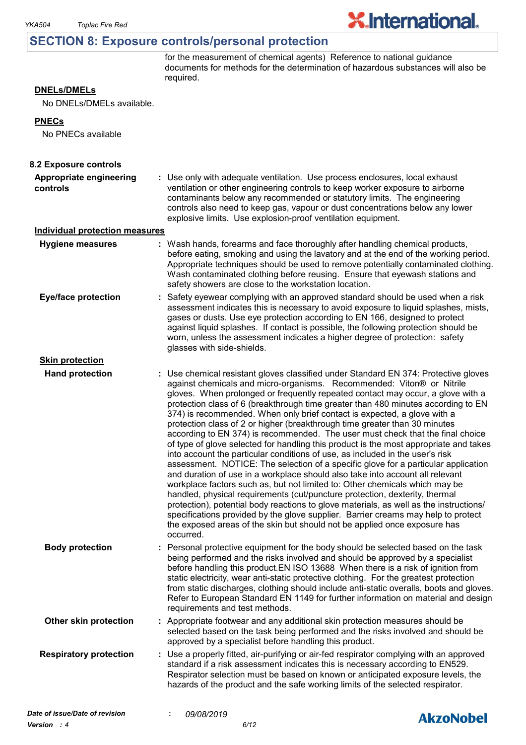## **SECTION 8: Exposure controls/personal protection**

for the measurement of chemical agents) Reference to national guidance documents for methods for the determination of hazardous substances will also be required.

**X.International.** 

## **DNELs/DMELs**

No DNELs/DMELs available.

#### **PNECs**

No PNECs available

| 8.2 Exposure controls                 |                                                                                                                                                                                                                                                                                                                                                                                                                                                                                                                                                                                                                                                                                                                                                                                                                                                                                                                                                                                                                                                                                                                                                                                                                                                                                                                                                                          |  |
|---------------------------------------|--------------------------------------------------------------------------------------------------------------------------------------------------------------------------------------------------------------------------------------------------------------------------------------------------------------------------------------------------------------------------------------------------------------------------------------------------------------------------------------------------------------------------------------------------------------------------------------------------------------------------------------------------------------------------------------------------------------------------------------------------------------------------------------------------------------------------------------------------------------------------------------------------------------------------------------------------------------------------------------------------------------------------------------------------------------------------------------------------------------------------------------------------------------------------------------------------------------------------------------------------------------------------------------------------------------------------------------------------------------------------|--|
| Appropriate engineering<br>controls   | : Use only with adequate ventilation. Use process enclosures, local exhaust<br>ventilation or other engineering controls to keep worker exposure to airborne<br>contaminants below any recommended or statutory limits. The engineering<br>controls also need to keep gas, vapour or dust concentrations below any lower<br>explosive limits. Use explosion-proof ventilation equipment.                                                                                                                                                                                                                                                                                                                                                                                                                                                                                                                                                                                                                                                                                                                                                                                                                                                                                                                                                                                 |  |
| <b>Individual protection measures</b> |                                                                                                                                                                                                                                                                                                                                                                                                                                                                                                                                                                                                                                                                                                                                                                                                                                                                                                                                                                                                                                                                                                                                                                                                                                                                                                                                                                          |  |
| <b>Hygiene measures</b>               | : Wash hands, forearms and face thoroughly after handling chemical products,<br>before eating, smoking and using the lavatory and at the end of the working period.<br>Appropriate techniques should be used to remove potentially contaminated clothing.<br>Wash contaminated clothing before reusing. Ensure that eyewash stations and<br>safety showers are close to the workstation location.                                                                                                                                                                                                                                                                                                                                                                                                                                                                                                                                                                                                                                                                                                                                                                                                                                                                                                                                                                        |  |
| <b>Eye/face protection</b>            | Safety eyewear complying with an approved standard should be used when a risk<br>assessment indicates this is necessary to avoid exposure to liquid splashes, mists,<br>gases or dusts. Use eye protection according to EN 166, designed to protect<br>against liquid splashes. If contact is possible, the following protection should be<br>worn, unless the assessment indicates a higher degree of protection: safety<br>glasses with side-shields.                                                                                                                                                                                                                                                                                                                                                                                                                                                                                                                                                                                                                                                                                                                                                                                                                                                                                                                  |  |
| <b>Skin protection</b>                |                                                                                                                                                                                                                                                                                                                                                                                                                                                                                                                                                                                                                                                                                                                                                                                                                                                                                                                                                                                                                                                                                                                                                                                                                                                                                                                                                                          |  |
| <b>Hand protection</b>                | : Use chemical resistant gloves classified under Standard EN 374: Protective gloves<br>against chemicals and micro-organisms. Recommended: Viton® or Nitrile<br>gloves. When prolonged or frequently repeated contact may occur, a glove with a<br>protection class of 6 (breakthrough time greater than 480 minutes according to EN<br>374) is recommended. When only brief contact is expected, a glove with a<br>protection class of 2 or higher (breakthrough time greater than 30 minutes<br>according to EN 374) is recommended. The user must check that the final choice<br>of type of glove selected for handling this product is the most appropriate and takes<br>into account the particular conditions of use, as included in the user's risk<br>assessment. NOTICE: The selection of a specific glove for a particular application<br>and duration of use in a workplace should also take into account all relevant<br>workplace factors such as, but not limited to: Other chemicals which may be<br>handled, physical requirements (cut/puncture protection, dexterity, thermal<br>protection), potential body reactions to glove materials, as well as the instructions/<br>specifications provided by the glove supplier. Barrier creams may help to protect<br>the exposed areas of the skin but should not be applied once exposure has<br>occurred. |  |
| <b>Body protection</b>                | Personal protective equipment for the body should be selected based on the task<br>being performed and the risks involved and should be approved by a specialist<br>before handling this product. EN ISO 13688 When there is a risk of ignition from<br>static electricity, wear anti-static protective clothing. For the greatest protection<br>from static discharges, clothing should include anti-static overalls, boots and gloves.<br>Refer to European Standard EN 1149 for further information on material and design<br>requirements and test methods.                                                                                                                                                                                                                                                                                                                                                                                                                                                                                                                                                                                                                                                                                                                                                                                                          |  |
| Other skin protection                 | : Appropriate footwear and any additional skin protection measures should be<br>selected based on the task being performed and the risks involved and should be<br>approved by a specialist before handling this product.                                                                                                                                                                                                                                                                                                                                                                                                                                                                                                                                                                                                                                                                                                                                                                                                                                                                                                                                                                                                                                                                                                                                                |  |
| <b>Respiratory protection</b>         | : Use a properly fitted, air-purifying or air-fed respirator complying with an approved<br>standard if a risk assessment indicates this is necessary according to EN529.<br>Respirator selection must be based on known or anticipated exposure levels, the<br>hazards of the product and the safe working limits of the selected respirator.                                                                                                                                                                                                                                                                                                                                                                                                                                                                                                                                                                                                                                                                                                                                                                                                                                                                                                                                                                                                                            |  |
| Date of issue/Date of revision        | 09/08/2019<br><b>AkzoNobel</b>                                                                                                                                                                                                                                                                                                                                                                                                                                                                                                                                                                                                                                                                                                                                                                                                                                                                                                                                                                                                                                                                                                                                                                                                                                                                                                                                           |  |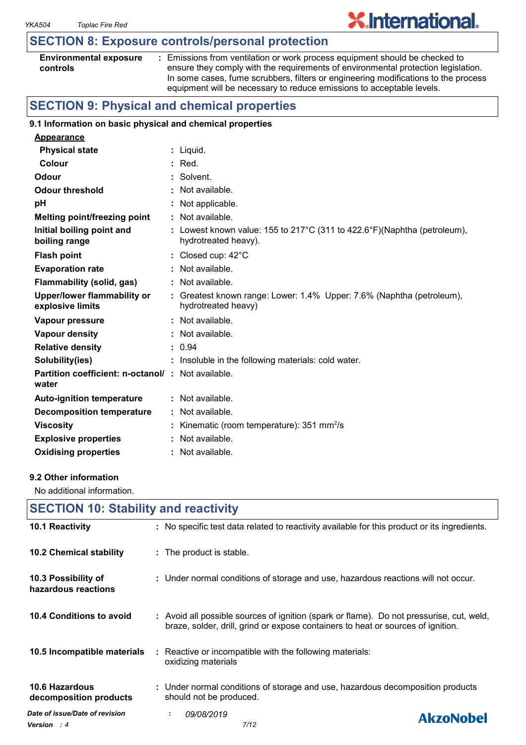## **SECTION 8: Exposure controls/personal protection**

| <b>Environmental exposure</b> |  |
|-------------------------------|--|
| controls                      |  |

**:** Emissions from ventilation or work process equipment should be checked to ensure they comply with the requirements of environmental protection legislation. In some cases, fume scrubbers, filters or engineering modifications to the process equipment will be necessary to reduce emissions to acceptable levels.

**X.International.** 

## **SECTION 9: Physical and chemical properties**

#### **9.1 Information on basic physical and chemical properties**

| <b>Appearance</b>                                                 |                                                                                                  |
|-------------------------------------------------------------------|--------------------------------------------------------------------------------------------------|
| <b>Physical state</b>                                             | : Liquid.                                                                                        |
| <b>Colour</b>                                                     | $:$ Red.                                                                                         |
| Odour                                                             | : Solvent.                                                                                       |
| <b>Odour threshold</b>                                            | : Not available.                                                                                 |
| рH                                                                | : Not applicable.                                                                                |
| <b>Melting point/freezing point</b>                               | $:$ Not available.                                                                               |
| Initial boiling point and<br>boiling range                        | : Lowest known value: 155 to 217°C (311 to 422.6°F)(Naphtha (petroleum),<br>hydrotreated heavy). |
| <b>Flash point</b>                                                | : Closed cup: $42^{\circ}$ C                                                                     |
| <b>Evaporation rate</b>                                           | : Not available.                                                                                 |
| <b>Flammability (solid, gas)</b>                                  | : Not available.                                                                                 |
| Upper/lower flammability or<br>explosive limits                   | : Greatest known range: Lower: 1.4% Upper: 7.6% (Naphtha (petroleum),<br>hydrotreated heavy)     |
| Vapour pressure                                                   | : Not available.                                                                                 |
| <b>Vapour density</b>                                             | : Not available.                                                                                 |
| <b>Relative density</b>                                           | : 0.94                                                                                           |
| Solubility(ies)                                                   | : Insoluble in the following materials: cold water.                                              |
| <b>Partition coefficient: n-octanol/: Not available.</b><br>water |                                                                                                  |
| <b>Auto-ignition temperature</b>                                  | $:$ Not available.                                                                               |
| <b>Decomposition temperature</b>                                  | : Not available.                                                                                 |
| <b>Viscosity</b>                                                  | : Kinematic (room temperature): $351 \text{ mm}^2/\text{s}$                                      |
| <b>Explosive properties</b>                                       | : Not available.                                                                                 |
| <b>Oxidising properties</b>                                       | : Not available.                                                                                 |

#### **9.2 Other information**

No additional information.

| <b>SECTION 10: Stability and reactivity</b>          |                                                                                                                                                                              |  |  |  |
|------------------------------------------------------|------------------------------------------------------------------------------------------------------------------------------------------------------------------------------|--|--|--|
| 10.1 Reactivity                                      | : No specific test data related to reactivity available for this product or its ingredients.                                                                                 |  |  |  |
| 10.2 Chemical stability                              | : The product is stable.                                                                                                                                                     |  |  |  |
| 10.3 Possibility of<br>hazardous reactions           | : Under normal conditions of storage and use, hazardous reactions will not occur.                                                                                            |  |  |  |
| 10.4 Conditions to avoid                             | : Avoid all possible sources of ignition (spark or flame). Do not pressurise, cut, weld,<br>braze, solder, drill, grind or expose containers to heat or sources of ignition. |  |  |  |
| 10.5 Incompatible materials                          | : Reactive or incompatible with the following materials:<br>oxidizing materials                                                                                              |  |  |  |
| <b>10.6 Hazardous</b><br>decomposition products      | : Under normal conditions of storage and use, hazardous decomposition products<br>should not be produced.                                                                    |  |  |  |
| Date of issue/Date of revision<br><b>Version</b> : 4 | 09/08/2019<br>÷.<br><b>AkzoNobel</b><br>7/12                                                                                                                                 |  |  |  |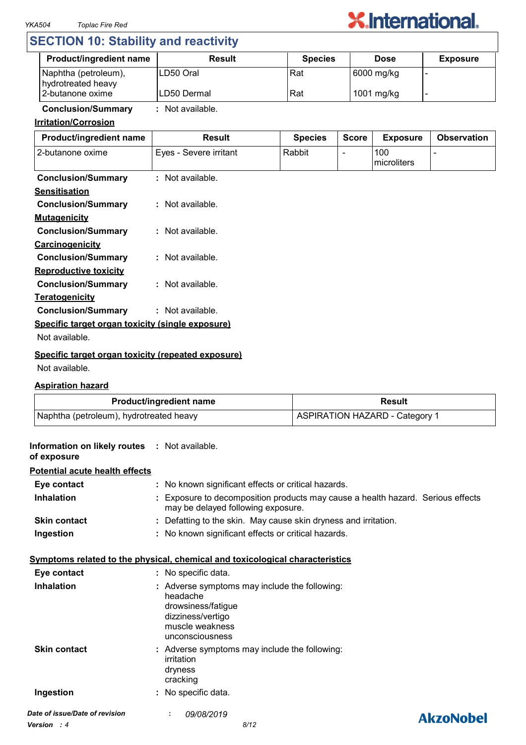

## **SECTION 10: Stability and reactivity**

| <b>Product/ingredient name</b>             | Result       | <b>Species</b> | <b>Dose</b> | <b>Exposure</b> |
|--------------------------------------------|--------------|----------------|-------------|-----------------|
| Naphtha (petroleum),<br>hydrotreated heavy | ILD50 Oral   | Rat            | 6000 mg/kg  |                 |
| 2-butanone oxime                           | ILD50 Dermal | Rat            | 1001 mg/kg  |                 |

## **Conclusion/Summary :** Not available.

## **Irritation/Corrosion**

| Product/ingredient name                            | <b>Result</b>          | <b>Species</b> | <b>Score</b> | <b>Exposure</b>    | <b>Observation</b> |
|----------------------------------------------------|------------------------|----------------|--------------|--------------------|--------------------|
| 2-butanone oxime                                   | Eyes - Severe irritant | Rabbit         |              | 100<br>microliters |                    |
| <b>Conclusion/Summary</b>                          | : Not available.       |                |              |                    |                    |
| <b>Sensitisation</b>                               |                        |                |              |                    |                    |
| <b>Conclusion/Summary</b>                          | $:$ Not available.     |                |              |                    |                    |
| <b>Mutagenicity</b>                                |                        |                |              |                    |                    |
| <b>Conclusion/Summary</b>                          | : Not available.       |                |              |                    |                    |
| Carcinogenicity                                    |                        |                |              |                    |                    |
| <b>Conclusion/Summary</b>                          | $:$ Not available.     |                |              |                    |                    |
| <b>Reproductive toxicity</b>                       |                        |                |              |                    |                    |
| <b>Conclusion/Summary</b>                          | : Not available.       |                |              |                    |                    |
| <b>Teratogenicity</b>                              |                        |                |              |                    |                    |
| <b>Conclusion/Summary</b>                          | : Not available.       |                |              |                    |                    |
| Specific target organ toxicity (single exposure)   |                        |                |              |                    |                    |
| Not available.                                     |                        |                |              |                    |                    |
| Specific target organ toxicity (repeated exposure) |                        |                |              |                    |                    |

#### Not available.

## **Aspiration hazard**

| <b>Product/ingredient name</b>          | Result                                |
|-----------------------------------------|---------------------------------------|
| Naphtha (petroleum), hydrotreated heavy | <b>ASPIRATION HAZARD - Category 1</b> |

| Information on likely routes : Not available.<br>of exposure |                                                                                                                                            |                  |
|--------------------------------------------------------------|--------------------------------------------------------------------------------------------------------------------------------------------|------------------|
| <b>Potential acute health effects</b>                        |                                                                                                                                            |                  |
| Eye contact                                                  | : No known significant effects or critical hazards.                                                                                        |                  |
| <b>Inhalation</b>                                            | Exposure to decomposition products may cause a health hazard. Serious effects<br>may be delayed following exposure.                        |                  |
| <b>Skin contact</b>                                          | : Defatting to the skin. May cause skin dryness and irritation.                                                                            |                  |
| Ingestion                                                    | : No known significant effects or critical hazards.                                                                                        |                  |
|                                                              | <u>Symptoms related to the physical, chemical and toxicological characteristics</u>                                                        |                  |
| Eye contact                                                  | : No specific data.                                                                                                                        |                  |
| <b>Inhalation</b>                                            | : Adverse symptoms may include the following:<br>headache<br>drowsiness/fatigue<br>dizziness/vertigo<br>muscle weakness<br>unconsciousness |                  |
| <b>Skin contact</b>                                          | : Adverse symptoms may include the following:<br>irritation<br>dryness<br>cracking                                                         |                  |
| Ingestion                                                    | : No specific data.                                                                                                                        |                  |
| Date of issue/Date of revision                               | 09/08/2019                                                                                                                                 | <b>AkzoNobel</b> |
| <b>Version</b> : 4                                           | 8/12                                                                                                                                       |                  |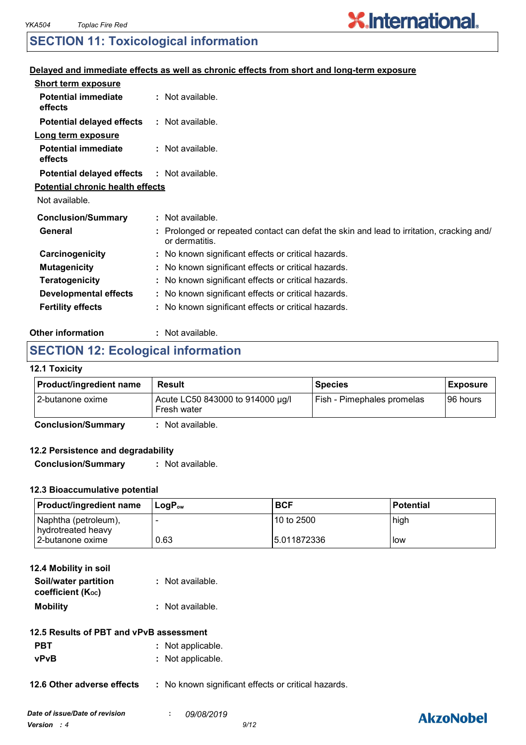# **X.International.**

## **SECTION 11: Toxicological information**

## **Delayed and immediate effects as well as chronic effects from short and long-term exposure**

| <b>Short term exposure</b>              |                                                                                                            |
|-----------------------------------------|------------------------------------------------------------------------------------------------------------|
| <b>Potential immediate</b><br>effects   | : Not available.                                                                                           |
| <b>Potential delayed effects</b>        | : Not available.                                                                                           |
| Long term exposure                      |                                                                                                            |
| <b>Potential immediate</b><br>effects   | : Not available.                                                                                           |
| <b>Potential delayed effects</b>        | : Not available.                                                                                           |
| <b>Potential chronic health effects</b> |                                                                                                            |
| Not available.                          |                                                                                                            |
| <b>Conclusion/Summary</b>               | $:$ Not available.                                                                                         |
| General                                 | : Prolonged or repeated contact can defat the skin and lead to irritation, cracking and/<br>or dermatitis. |
| Carcinogenicity                         | : No known significant effects or critical hazards.                                                        |
| <b>Mutagenicity</b>                     | : No known significant effects or critical hazards.                                                        |
| <b>Teratogenicity</b>                   | : No known significant effects or critical hazards.                                                        |
| <b>Developmental effects</b>            | : No known significant effects or critical hazards.                                                        |
| <b>Fertility effects</b>                | : No known significant effects or critical hazards.                                                        |
|                                         |                                                                                                            |

#### **Other information :** : Not available.

## **SECTION 12: Ecological information**

## **12.1 Toxicity**

| <b>Product/ingredient name</b> | Result                                          | <b>Species</b>             | <b>Exposure</b> |
|--------------------------------|-------------------------------------------------|----------------------------|-----------------|
| 12-butanone oxime              | Acute LC50 843000 to 914000 µg/l<br>Fresh water | Fish - Pimephales promelas | I96 hours       |

**Conclusion/Summary :** Not available.

## **12.2 Persistence and degradability**

**Conclusion/Summary :** Not available.

## **12.3 Bioaccumulative potential**

| <b>Product/ingredient name</b>             | ⊺LoɑP <sub>∾w</sub> | <b>BCF</b>   | <b>Potential</b> |
|--------------------------------------------|---------------------|--------------|------------------|
| Naphtha (petroleum),<br>hydrotreated heavy |                     | 10 to 2500   | high             |
| 2-butanone oxime                           | 0.63                | 15.011872336 | low              |

| 12.4 Mobility in soil                     |                  |
|-------------------------------------------|------------------|
| Soil/water partition<br>coefficient (Koc) | : Not available. |
| <b>Mobility</b>                           | : Not available. |

- **PBT** : Not applicable.
- **vPvB :** Not applicable.

## **12.6 Other adverse effects** : No known significant effects or critical hazards.

## **AkzoNobel**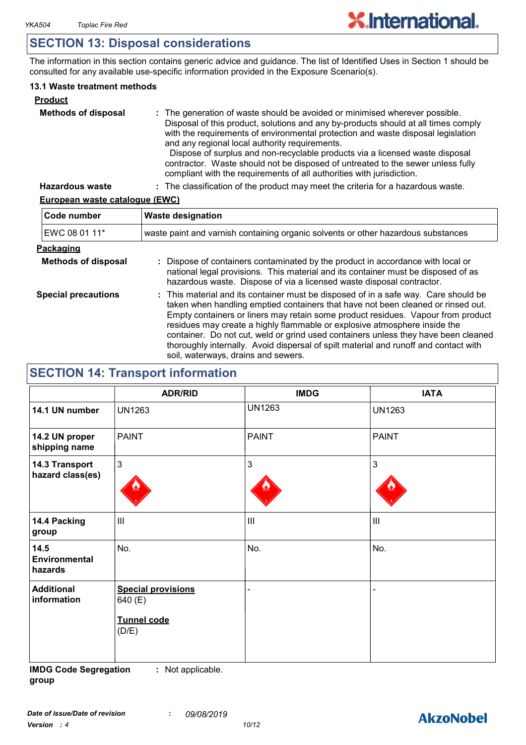## **SECTION 13: Disposal considerations**

The information in this section contains generic advice and guidance. The list of Identified Uses in Section 1 should be consulted for any available use-specific information provided in the Exposure Scenario(s).

## **13.1 Waste treatment methods**

| <b>Product</b>             |                                                                                                                                                                                                                                                                                                                                                                                                                                                                                                                                                     |
|----------------------------|-----------------------------------------------------------------------------------------------------------------------------------------------------------------------------------------------------------------------------------------------------------------------------------------------------------------------------------------------------------------------------------------------------------------------------------------------------------------------------------------------------------------------------------------------------|
| <b>Methods of disposal</b> | : The generation of waste should be avoided or minimised wherever possible.<br>Disposal of this product, solutions and any by-products should at all times comply<br>with the requirements of environmental protection and waste disposal legislation<br>and any regional local authority requirements.<br>Dispose of surplus and non-recyclable products via a licensed waste disposal<br>contractor. Waste should not be disposed of untreated to the sewer unless fully<br>compliant with the requirements of all authorities with jurisdiction. |
| <b>Hazardous waste</b>     | : The classification of the product may meet the criteria for a hazardous waste.                                                                                                                                                                                                                                                                                                                                                                                                                                                                    |

## **European waste catalogue (EWC)**

| Code number                | <b>Waste designation</b>                                                                                                                                                                                                                                                                                                                                                                                                                                                                                                                                      |  |  |
|----------------------------|---------------------------------------------------------------------------------------------------------------------------------------------------------------------------------------------------------------------------------------------------------------------------------------------------------------------------------------------------------------------------------------------------------------------------------------------------------------------------------------------------------------------------------------------------------------|--|--|
| EWC 08 01 11*              | waste paint and varnish containing organic solvents or other hazardous substances                                                                                                                                                                                                                                                                                                                                                                                                                                                                             |  |  |
| Packaging                  |                                                                                                                                                                                                                                                                                                                                                                                                                                                                                                                                                               |  |  |
| <b>Methods of disposal</b> | : Dispose of containers contaminated by the product in accordance with local or<br>national legal provisions. This material and its container must be disposed of as<br>hazardous waste. Dispose of via a licensed waste disposal contractor.                                                                                                                                                                                                                                                                                                                 |  |  |
| <b>Special precautions</b> | : This material and its container must be disposed of in a safe way. Care should be<br>taken when handling emptied containers that have not been cleaned or rinsed out.<br>Empty containers or liners may retain some product residues. Vapour from product<br>residues may create a highly flammable or explosive atmosphere inside the<br>container. Do not cut, weld or grind used containers unless they have been cleaned<br>thoroughly internally. Avoid dispersal of spilt material and runoff and contact with<br>soil, waterways, drains and sewers. |  |  |

## **SECTION 14: Transport information**

|                                         | <b>ADR/RID</b>                                               | <b>IMDG</b>    | <b>IATA</b>                 |
|-----------------------------------------|--------------------------------------------------------------|----------------|-----------------------------|
| 14.1 UN number                          | <b>UN1263</b>                                                | <b>UN1263</b>  | <b>UN1263</b>               |
| 14.2 UN proper<br>shipping name         | <b>PAINT</b>                                                 | <b>PAINT</b>   | PAINT                       |
| 14.3 Transport<br>hazard class(es)      | $\mathbf{3}$                                                 | 3              | $\mathbf{3}$                |
| 14.4 Packing<br>group                   | $\mathbf{III}$                                               | $\mathbf{III}$ | $\mathop{\rm III}\nolimits$ |
| 14.5<br><b>Environmental</b><br>hazards | No.                                                          | No.            | No.                         |
| <b>Additional</b><br>information        | <b>Special provisions</b><br>640 (E)<br>Tunnel code<br>(D/E) |                |                             |

**IMDG Code Segregation group :** Not applicable.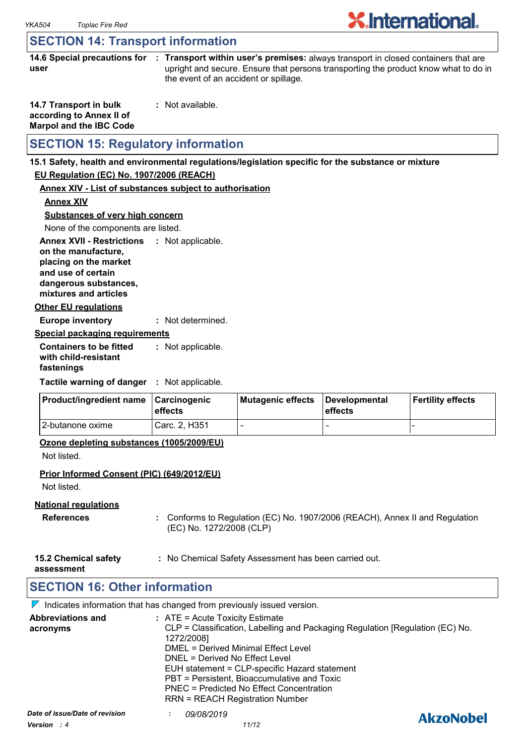## **SECTION 14: Transport information**

|      | 14.6 Special precautions for : Transport within user's premises: always transport in closed containers that are |
|------|-----------------------------------------------------------------------------------------------------------------|
| user | upright and secure. Ensure that persons transporting the product know what to do in                             |
|      | the event of an accident or spillage.                                                                           |

| 14.7 Transport in bulk         | : Not available. |
|--------------------------------|------------------|
| according to Annex II of       |                  |
| <b>Marpol and the IBC Code</b> |                  |

## **SECTION 15: Regulatory information**

#### **15.1 Safety, health and environmental regulations/legislation specific for the substance or mixture**

## **EU Regulation (EC) No. 1907/2006 (REACH)**

## **Annex XIV - List of substances subject to authorisation**

**Annex XIV**

**Substances of very high concern**

None of the components are listed.

**Annex XVII - Restrictions : Not applicable. on the manufacture, placing on the market and use of certain** 

**dangerous substances, mixtures and articles**

### **Other EU regulations**

**Europe inventory :** Not determined.

#### **Special packaging requirements**

**Containers to be fitted with child-resistant fastenings** Not applicable. **:**

**Tactile warning of danger : Not applicable.** 

| <b>Product/ingredient name</b> | <b>∣Carcinogenic</b><br><b>leffects</b> | Mutagenic effects | Developmental<br>effects | Fertility effects |
|--------------------------------|-----------------------------------------|-------------------|--------------------------|-------------------|
| 12-butanone oxime              | Carc. 2. H351                           |                   | -                        |                   |

## **Ozone depleting substances (1005/2009/EU)**

Not listed.

## **Prior Informed Consent (PIC) (649/2012/EU)**

Not listed.

## **National regulations**

- **References :** Conforms to Regulation (EC) No. 1907/2006 (REACH), Annex II and Regulation (EC) No. 1272/2008 (CLP)
- **15.2 Chemical safety :** No Chemical Safety Assessment has been carried out.

**assessment**

## **SECTION 16: Other information**

 $\nabla$  Indicates information that has changed from previously issued version.

| <b>Abbreviations and</b><br>acronyms            | $:$ ATE = Acute Toxicity Estimate<br>CLP = Classification, Labelling and Packaging Regulation [Regulation (EC) No.<br>1272/2008]<br>DMEL = Derived Minimal Effect Level<br>DNEL = Derived No Effect Level<br>EUH statement = CLP-specific Hazard statement<br>PBT = Persistent, Bioaccumulative and Toxic<br>PNEC = Predicted No Effect Concentration<br><b>RRN = REACH Registration Number</b> |                  |
|-------------------------------------------------|-------------------------------------------------------------------------------------------------------------------------------------------------------------------------------------------------------------------------------------------------------------------------------------------------------------------------------------------------------------------------------------------------|------------------|
| Date of issue/Date of revision<br>Version $: 4$ | <i>09/08/2019</i><br>11/12                                                                                                                                                                                                                                                                                                                                                                      | <b>AkzoNobel</b> |